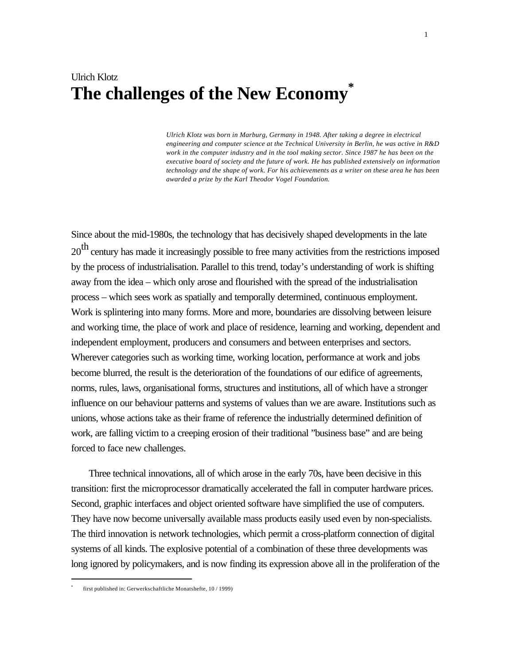# Ulrich Klotz **The challenges of the New Economy\***

*Ulrich Klotz was born in Marburg, Germany in 1948. After taking a degree in electrical engineering and computer science at the Technical University in Berlin, he was active in R&D work in the computer industry and in the tool making sector. Since 1987 he has been on the executive board of society and the future of work. He has published extensively on information technology and the shape of work. For his achievements as a writer on these area he has been awarded a prize by the Karl Theodor Vogel Foundation.*

Since about the mid-1980s, the technology that has decisively shaped developments in the late 20<sup>th</sup> century has made it increasingly possible to free many activities from the restrictions imposed by the process of industrialisation. Parallel to this trend, today's understanding of work is shifting away from the idea – which only arose and flourished with the spread of the industrialisation process – which sees work as spatially and temporally determined, continuous employment. Work is splintering into many forms. More and more, boundaries are dissolving between leisure and working time, the place of work and place of residence, learning and working, dependent and independent employment, producers and consumers and between enterprises and sectors. Wherever categories such as working time, working location, performance at work and jobs become blurred, the result is the deterioration of the foundations of our edifice of agreements, norms, rules, laws, organisational forms, structures and institutions, all of which have a stronger influence on our behaviour patterns and systems of values than we are aware. Institutions such as unions, whose actions take as their frame of reference the industrially determined definition of work, are falling victim to a creeping erosion of their traditional "business base" and are being forced to face new challenges.

Three technical innovations, all of which arose in the early 70s, have been decisive in this transition: first the microprocessor dramatically accelerated the fall in computer hardware prices. Second, graphic interfaces and object oriented software have simplified the use of computers. They have now become universally available mass products easily used even by non-specialists. The third innovation is network technologies, which permit a cross-platform connection of digital systems of all kinds. The explosive potential of a combination of these three developments was long ignored by policymakers, and is now finding its expression above all in the proliferation of the

<sup>\*</sup> first published in: Gerwerkschaftliche Monatshefte, 10 / 1999)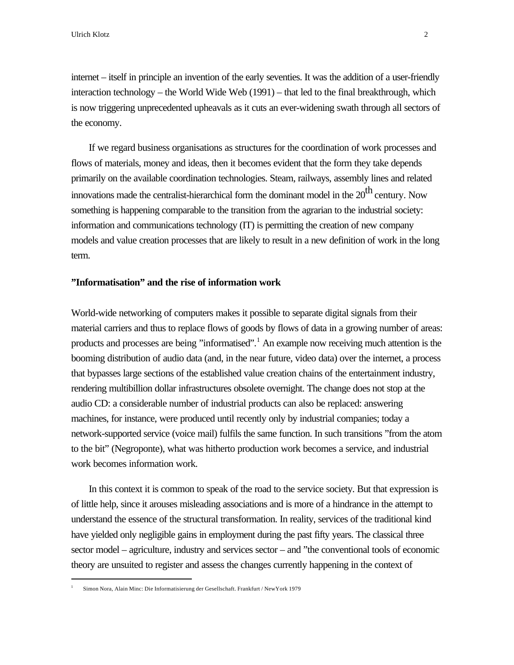internet – itself in principle an invention of the early seventies. It was the addition of a user-friendly interaction technology – the World Wide Web (1991) – that led to the final breakthrough, which is now triggering unprecedented upheavals as it cuts an ever-widening swath through all sectors of the economy.

If we regard business organisations as structures for the coordination of work processes and flows of materials, money and ideas, then it becomes evident that the form they take depends primarily on the available coordination technologies. Steam, railways, assembly lines and related innovations made the centralist-hierarchical form the dominant model in the  $20<sup>th</sup>$  century. Now something is happening comparable to the transition from the agrarian to the industrial society: information and communications technology (IT) is permitting the creation of new company models and value creation processes that are likely to result in a new definition of work in the long term.

# **"Informatisation" and the rise of information work**

World-wide networking of computers makes it possible to separate digital signals from their material carriers and thus to replace flows of goods by flows of data in a growing number of areas: products and processes are being "informatised".<sup>1</sup> An example now receiving much attention is the booming distribution of audio data (and, in the near future, video data) over the internet, a process that bypasses large sections of the established value creation chains of the entertainment industry, rendering multibillion dollar infrastructures obsolete overnight. The change does not stop at the audio CD: a considerable number of industrial products can also be replaced: answering machines, for instance, were produced until recently only by industrial companies; today a network-supported service (voice mail) fulfils the same function. In such transitions "from the atom to the bit" (Negroponte), what was hitherto production work becomes a service, and industrial work becomes information work.

In this context it is common to speak of the road to the service society. But that expression is of little help, since it arouses misleading associations and is more of a hindrance in the attempt to understand the essence of the structural transformation. In reality, services of the traditional kind have yielded only negligible gains in employment during the past fifty years. The classical three sector model – agriculture, industry and services sector – and "the conventional tools of economic theory are unsuited to register and assess the changes currently happening in the context of

<sup>1</sup> Simon Nora, Alain Minc: Die Informatisierung der Gesellschaft. Frankfurt / NewYork 1979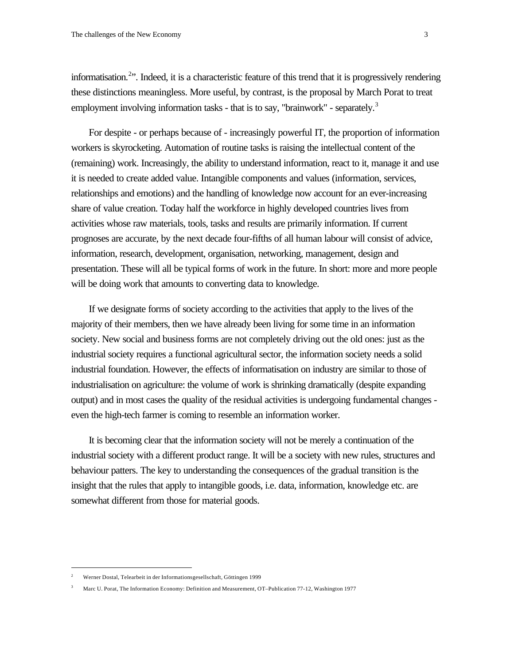informatisation.<sup>2</sup>". Indeed, it is a characteristic feature of this trend that it is progressively rendering these distinctions meaningless. More useful, by contrast, is the proposal by March Porat to treat employment involving information tasks - that is to say, "brainwork" - separately.<sup>3</sup>

For despite - or perhaps because of - increasingly powerful IT, the proportion of information workers is skyrocketing. Automation of routine tasks is raising the intellectual content of the (remaining) work. Increasingly, the ability to understand information, react to it, manage it and use it is needed to create added value. Intangible components and values (information, services, relationships and emotions) and the handling of knowledge now account for an ever-increasing share of value creation. Today half the workforce in highly developed countries lives from activities whose raw materials, tools, tasks and results are primarily information. If current prognoses are accurate, by the next decade four-fifths of all human labour will consist of advice, information, research, development, organisation, networking, management, design and presentation. These will all be typical forms of work in the future. In short: more and more people will be doing work that amounts to converting data to knowledge.

If we designate forms of society according to the activities that apply to the lives of the majority of their members, then we have already been living for some time in an information society. New social and business forms are not completely driving out the old ones: just as the industrial society requires a functional agricultural sector, the information society needs a solid industrial foundation. However, the effects of informatisation on industry are similar to those of industrialisation on agriculture: the volume of work is shrinking dramatically (despite expanding output) and in most cases the quality of the residual activities is undergoing fundamental changes even the high-tech farmer is coming to resemble an information worker.

It is becoming clear that the information society will not be merely a continuation of the industrial society with a different product range. It will be a society with new rules, structures and behaviour patters. The key to understanding the consequences of the gradual transition is the insight that the rules that apply to intangible goods, i.e. data, information, knowledge etc. are somewhat different from those for material goods.

<sup>2</sup> Werner Dostal, Telearbeit in der Informationsgesellschaft, Göttingen 1999

<sup>3</sup> Marc U. Porat, The Information Economy: Definition and Measurement, OT–Publication 77-12, Washington 1977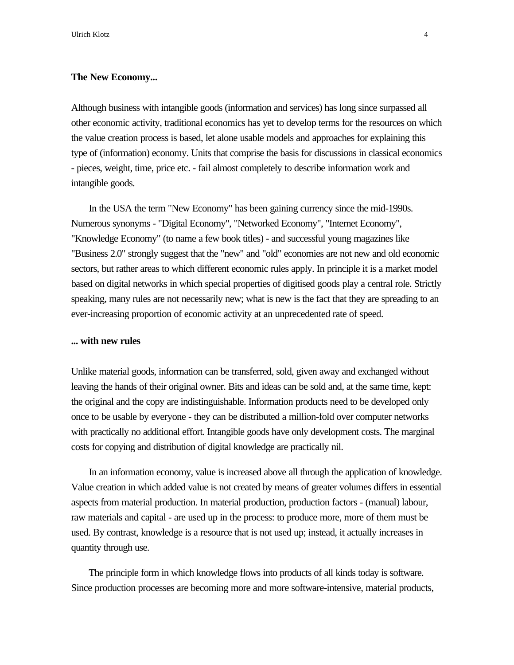### **The New Economy...**

Although business with intangible goods (information and services) has long since surpassed all other economic activity, traditional economics has yet to develop terms for the resources on which the value creation process is based, let alone usable models and approaches for explaining this type of (information) economy. Units that comprise the basis for discussions in classical economics - pieces, weight, time, price etc. - fail almost completely to describe information work and intangible goods.

In the USA the term "New Economy" has been gaining currency since the mid-1990s. Numerous synonyms - "Digital Economy", "Networked Economy", "Internet Economy", "Knowledge Economy" (to name a few book titles) - and successful young magazines like "Business 2.0" strongly suggest that the "new" and "old" economies are not new and old economic sectors, but rather areas to which different economic rules apply. In principle it is a market model based on digital networks in which special properties of digitised goods play a central role. Strictly speaking, many rules are not necessarily new; what is new is the fact that they are spreading to an ever-increasing proportion of economic activity at an unprecedented rate of speed.

### **... with new rules**

Unlike material goods, information can be transferred, sold, given away and exchanged without leaving the hands of their original owner. Bits and ideas can be sold and, at the same time, kept: the original and the copy are indistinguishable. Information products need to be developed only once to be usable by everyone - they can be distributed a million-fold over computer networks with practically no additional effort. Intangible goods have only development costs. The marginal costs for copying and distribution of digital knowledge are practically nil.

In an information economy, value is increased above all through the application of knowledge. Value creation in which added value is not created by means of greater volumes differs in essential aspects from material production. In material production, production factors - (manual) labour, raw materials and capital - are used up in the process: to produce more, more of them must be used. By contrast, knowledge is a resource that is not used up; instead, it actually increases in quantity through use.

The principle form in which knowledge flows into products of all kinds today is software. Since production processes are becoming more and more software-intensive, material products,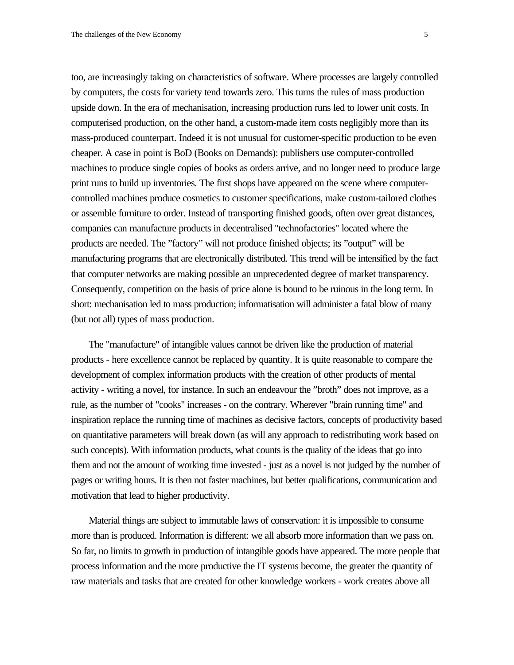too, are increasingly taking on characteristics of software. Where processes are largely controlled by computers, the costs for variety tend towards zero. This turns the rules of mass production upside down. In the era of mechanisation, increasing production runs led to lower unit costs. In computerised production, on the other hand, a custom-made item costs negligibly more than its mass-produced counterpart. Indeed it is not unusual for customer-specific production to be even cheaper. A case in point is BoD (Books on Demands): publishers use computer-controlled machines to produce single copies of books as orders arrive, and no longer need to produce large print runs to build up inventories. The first shops have appeared on the scene where computercontrolled machines produce cosmetics to customer specifications, make custom-tailored clothes or assemble furniture to order. Instead of transporting finished goods, often over great distances, companies can manufacture products in decentralised "technofactories" located where the products are needed. The "factory" will not produce finished objects; its "output" will be manufacturing programs that are electronically distributed. This trend will be intensified by the fact that computer networks are making possible an unprecedented degree of market transparency. Consequently, competition on the basis of price alone is bound to be ruinous in the long term. In short: mechanisation led to mass production; informatisation will administer a fatal blow of many (but not all) types of mass production.

The "manufacture" of intangible values cannot be driven like the production of material products - here excellence cannot be replaced by quantity. It is quite reasonable to compare the development of complex information products with the creation of other products of mental activity - writing a novel, for instance. In such an endeavour the "broth" does not improve, as a rule, as the number of "cooks" increases - on the contrary. Wherever "brain running time" and inspiration replace the running time of machines as decisive factors, concepts of productivity based on quantitative parameters will break down (as will any approach to redistributing work based on such concepts). With information products, what counts is the quality of the ideas that go into them and not the amount of working time invested - just as a novel is not judged by the number of pages or writing hours. It is then not faster machines, but better qualifications, communication and motivation that lead to higher productivity.

Material things are subject to immutable laws of conservation: it is impossible to consume more than is produced. Information is different: we all absorb more information than we pass on. So far, no limits to growth in production of intangible goods have appeared. The more people that process information and the more productive the IT systems become, the greater the quantity of raw materials and tasks that are created for other knowledge workers - work creates above all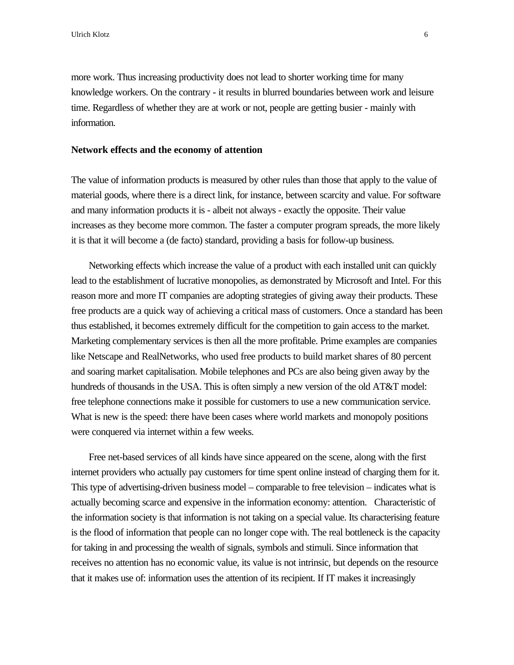more work. Thus increasing productivity does not lead to shorter working time for many knowledge workers. On the contrary - it results in blurred boundaries between work and leisure time. Regardless of whether they are at work or not, people are getting busier - mainly with information.

#### **Network effects and the economy of attention**

The value of information products is measured by other rules than those that apply to the value of material goods, where there is a direct link, for instance, between scarcity and value. For software and many information products it is - albeit not always - exactly the opposite. Their value increases as they become more common. The faster a computer program spreads, the more likely it is that it will become a (de facto) standard, providing a basis for follow-up business.

Networking effects which increase the value of a product with each installed unit can quickly lead to the establishment of lucrative monopolies, as demonstrated by Microsoft and Intel. For this reason more and more IT companies are adopting strategies of giving away their products. These free products are a quick way of achieving a critical mass of customers. Once a standard has been thus established, it becomes extremely difficult for the competition to gain access to the market. Marketing complementary services is then all the more profitable. Prime examples are companies like Netscape and RealNetworks, who used free products to build market shares of 80 percent and soaring market capitalisation. Mobile telephones and PCs are also being given away by the hundreds of thousands in the USA. This is often simply a new version of the old AT&T model: free telephone connections make it possible for customers to use a new communication service. What is new is the speed: there have been cases where world markets and monopoly positions were conquered via internet within a few weeks.

Free net-based services of all kinds have since appeared on the scene, along with the first internet providers who actually pay customers for time spent online instead of charging them for it. This type of advertising-driven business model – comparable to free television – indicates what is actually becoming scarce and expensive in the information economy: attention. Characteristic of the information society is that information is not taking on a special value. Its characterising feature is the flood of information that people can no longer cope with. The real bottleneck is the capacity for taking in and processing the wealth of signals, symbols and stimuli. Since information that receives no attention has no economic value, its value is not intrinsic, but depends on the resource that it makes use of: information uses the attention of its recipient. If IT makes it increasingly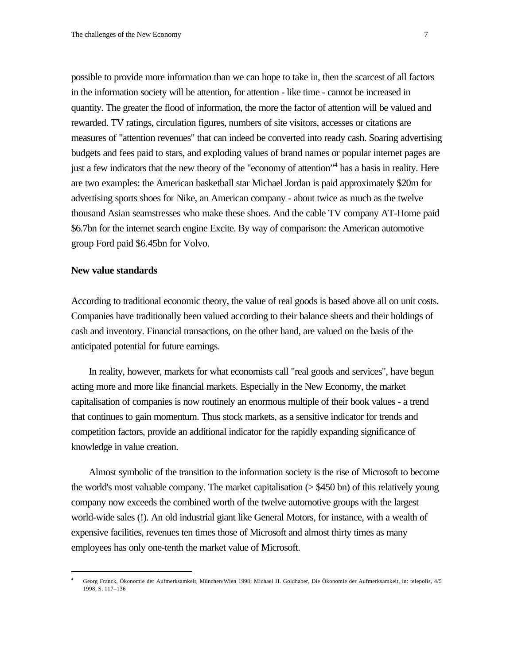possible to provide more information than we can hope to take in, then the scarcest of all factors in the information society will be attention, for attention - like time - cannot be increased in quantity. The greater the flood of information, the more the factor of attention will be valued and rewarded. TV ratings, circulation figures, numbers of site visitors, accesses or citations are measures of "attention revenues" that can indeed be converted into ready cash. Soaring advertising budgets and fees paid to stars, and exploding values of brand names or popular internet pages are just a few indicators that the new theory of the "economy of attention"<sup>4</sup> has a basis in reality. Here are two examples: the American basketball star Michael Jordan is paid approximately \$20m for advertising sports shoes for Nike, an American company - about twice as much as the twelve thousand Asian seamstresses who make these shoes. And the cable TV company AT-Home paid \$6.7bn for the internet search engine Excite. By way of comparison: the American automotive group Ford paid \$6.45bn for Volvo.

#### **New value standards**

l

According to traditional economic theory, the value of real goods is based above all on unit costs. Companies have traditionally been valued according to their balance sheets and their holdings of cash and inventory. Financial transactions, on the other hand, are valued on the basis of the anticipated potential for future earnings.

In reality, however, markets for what economists call "real goods and services", have begun acting more and more like financial markets. Especially in the New Economy, the market capitalisation of companies is now routinely an enormous multiple of their book values - a trend that continues to gain momentum. Thus stock markets, as a sensitive indicator for trends and competition factors, provide an additional indicator for the rapidly expanding significance of knowledge in value creation.

Almost symbolic of the transition to the information society is the rise of Microsoft to become the world's most valuable company. The market capitalisation  $($   $>$  \$450 bn) of this relatively young company now exceeds the combined worth of the twelve automotive groups with the largest world-wide sales (!). An old industrial giant like General Motors, for instance, with a wealth of expensive facilities, revenues ten times those of Microsoft and almost thirty times as many employees has only one-tenth the market value of Microsoft.

<sup>4</sup> Georg Franck, Ökonomie der Aufmerksamkeit, München/Wien 1998; Michael H. Goldhaber, Die Ökonomie der Aufmerksamkeit, in: telepolis, 4/5 1998, S. 117–136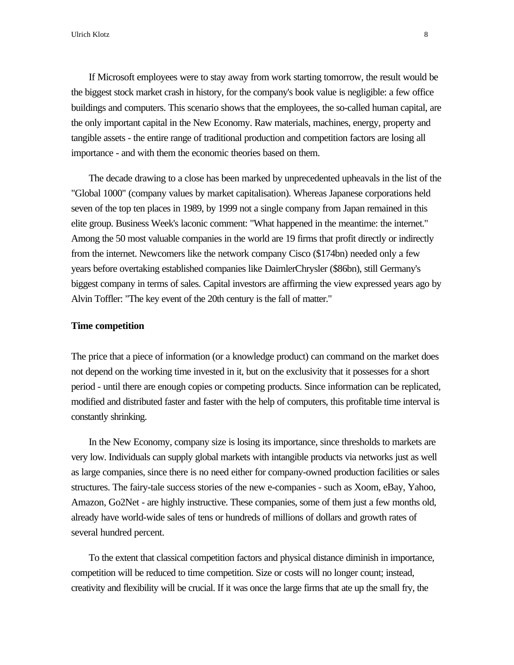If Microsoft employees were to stay away from work starting tomorrow, the result would be the biggest stock market crash in history, for the company's book value is negligible: a few office buildings and computers. This scenario shows that the employees, the so-called human capital, are the only important capital in the New Economy. Raw materials, machines, energy, property and tangible assets - the entire range of traditional production and competition factors are losing all importance - and with them the economic theories based on them.

The decade drawing to a close has been marked by unprecedented upheavals in the list of the "Global 1000" (company values by market capitalisation). Whereas Japanese corporations held seven of the top ten places in 1989, by 1999 not a single company from Japan remained in this elite group. Business Week's laconic comment: "What happened in the meantime: the internet." Among the 50 most valuable companies in the world are 19 firms that profit directly or indirectly from the internet. Newcomers like the network company Cisco (\$174bn) needed only a few years before overtaking established companies like DaimlerChrysler (\$86bn), still Germany's biggest company in terms of sales. Capital investors are affirming the view expressed years ago by Alvin Toffler: "The key event of the 20th century is the fall of matter."

#### **Time competition**

The price that a piece of information (or a knowledge product) can command on the market does not depend on the working time invested in it, but on the exclusivity that it possesses for a short period - until there are enough copies or competing products. Since information can be replicated, modified and distributed faster and faster with the help of computers, this profitable time interval is constantly shrinking.

In the New Economy, company size is losing its importance, since thresholds to markets are very low. Individuals can supply global markets with intangible products via networks just as well as large companies, since there is no need either for company-owned production facilities or sales structures. The fairy-tale success stories of the new e-companies - such as Xoom, eBay, Yahoo, Amazon, Go2Net - are highly instructive. These companies, some of them just a few months old, already have world-wide sales of tens or hundreds of millions of dollars and growth rates of several hundred percent.

To the extent that classical competition factors and physical distance diminish in importance, competition will be reduced to time competition. Size or costs will no longer count; instead, creativity and flexibility will be crucial. If it was once the large firms that ate up the small fry, the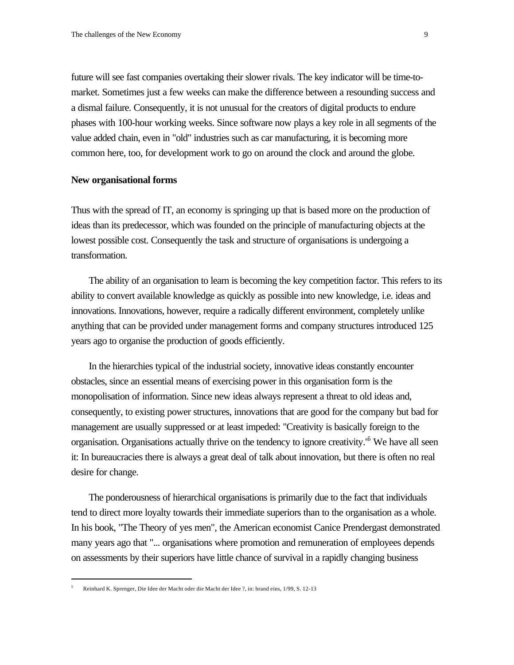future will see fast companies overtaking their slower rivals. The key indicator will be time-tomarket. Sometimes just a few weeks can make the difference between a resounding success and a dismal failure. Consequently, it is not unusual for the creators of digital products to endure phases with 100-hour working weeks. Since software now plays a key role in all segments of the value added chain, even in "old" industries such as car manufacturing, it is becoming more common here, too, for development work to go on around the clock and around the globe.

#### **New organisational forms**

Thus with the spread of IT, an economy is springing up that is based more on the production of ideas than its predecessor, which was founded on the principle of manufacturing objects at the lowest possible cost. Consequently the task and structure of organisations is undergoing a transformation.

The ability of an organisation to learn is becoming the key competition factor. This refers to its ability to convert available knowledge as quickly as possible into new knowledge, i.e. ideas and innovations. Innovations, however, require a radically different environment, completely unlike anything that can be provided under management forms and company structures introduced 125 years ago to organise the production of goods efficiently.

In the hierarchies typical of the industrial society, innovative ideas constantly encounter obstacles, since an essential means of exercising power in this organisation form is the monopolisation of information. Since new ideas always represent a threat to old ideas and, consequently, to existing power structures, innovations that are good for the company but bad for management are usually suppressed or at least impeded: "Creativity is basically foreign to the organisation. Organisations actually thrive on the tendency to ignore creativity.<sup>'6</sup> We have all seen it: In bureaucracies there is always a great deal of talk about innovation, but there is often no real desire for change.

The ponderousness of hierarchical organisations is primarily due to the fact that individuals tend to direct more loyalty towards their immediate superiors than to the organisation as a whole. In his book, "The Theory of yes men", the American economist Canice Prendergast demonstrated many years ago that "... organisations where promotion and remuneration of employees depends on assessments by their superiors have little chance of survival in a rapidly changing business

<sup>5</sup> Reinhard K. Sprenger, Die Idee der Macht oder die Macht der Idee ?, in: brand eins, 1/99, S. 12-13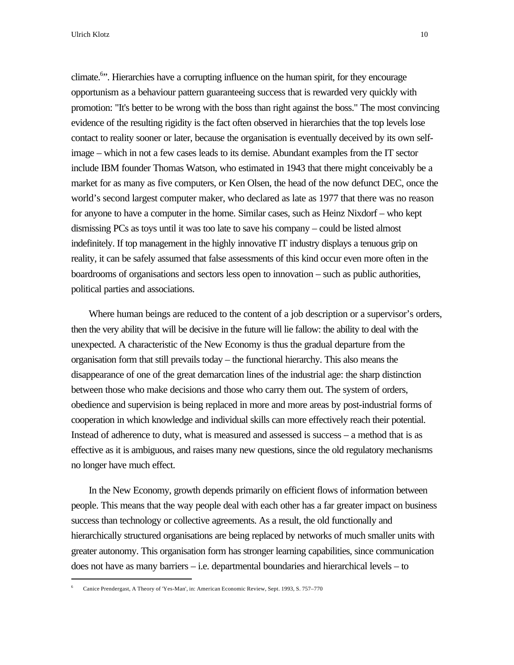l

climate.<sup>6</sup>". Hierarchies have a corrupting influence on the human spirit, for they encourage opportunism as a behaviour pattern guaranteeing success that is rewarded very quickly with promotion: "It's better to be wrong with the boss than right against the boss." The most convincing evidence of the resulting rigidity is the fact often observed in hierarchies that the top levels lose contact to reality sooner or later, because the organisation is eventually deceived by its own selfimage – which in not a few cases leads to its demise. Abundant examples from the IT sector include IBM founder Thomas Watson, who estimated in 1943 that there might conceivably be a market for as many as five computers, or Ken Olsen, the head of the now defunct DEC, once the world's second largest computer maker, who declared as late as 1977 that there was no reason for anyone to have a computer in the home. Similar cases, such as Heinz Nixdorf – who kept dismissing PCs as toys until it was too late to save his company – could be listed almost indefinitely. If top management in the highly innovative IT industry displays a tenuous grip on reality, it can be safely assumed that false assessments of this kind occur even more often in the boardrooms of organisations and sectors less open to innovation – such as public authorities, political parties and associations.

Where human beings are reduced to the content of a job description or a supervisor's orders, then the very ability that will be decisive in the future will lie fallow: the ability to deal with the unexpected. A characteristic of the New Economy is thus the gradual departure from the organisation form that still prevails today – the functional hierarchy. This also means the disappearance of one of the great demarcation lines of the industrial age: the sharp distinction between those who make decisions and those who carry them out. The system of orders, obedience and supervision is being replaced in more and more areas by post-industrial forms of cooperation in which knowledge and individual skills can more effectively reach their potential. Instead of adherence to duty, what is measured and assessed is success – a method that is as effective as it is ambiguous, and raises many new questions, since the old regulatory mechanisms no longer have much effect.

In the New Economy, growth depends primarily on efficient flows of information between people. This means that the way people deal with each other has a far greater impact on business success than technology or collective agreements. As a result, the old functionally and hierarchically structured organisations are being replaced by networks of much smaller units with greater autonomy. This organisation form has stronger learning capabilities, since communication does not have as many barriers – i.e. departmental boundaries and hierarchical levels – to

<sup>6</sup> Canice Prendergast, A Theory of 'Yes-Man', in: American Economic Review, Sept. 1993, S. 757–770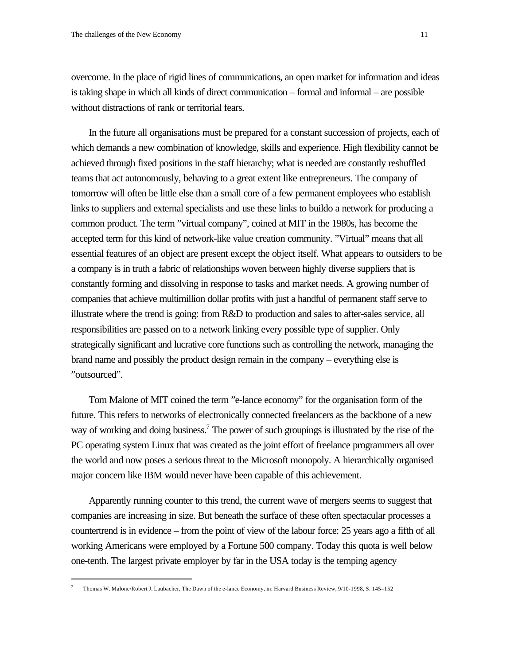overcome. In the place of rigid lines of communications, an open market for information and ideas is taking shape in which all kinds of direct communication – formal and informal – are possible without distractions of rank or territorial fears.

In the future all organisations must be prepared for a constant succession of projects, each of which demands a new combination of knowledge, skills and experience. High flexibility cannot be achieved through fixed positions in the staff hierarchy; what is needed are constantly reshuffled teams that act autonomously, behaving to a great extent like entrepreneurs. The company of tomorrow will often be little else than a small core of a few permanent employees who establish links to suppliers and external specialists and use these links to buildo a network for producing a common product. The term "virtual company", coined at MIT in the 1980s, has become the accepted term for this kind of network-like value creation community. "Virtual" means that all essential features of an object are present except the object itself. What appears to outsiders to be a company is in truth a fabric of relationships woven between highly diverse suppliers that is constantly forming and dissolving in response to tasks and market needs. A growing number of companies that achieve multimillion dollar profits with just a handful of permanent staff serve to illustrate where the trend is going: from R&D to production and sales to after-sales service, all responsibilities are passed on to a network linking every possible type of supplier. Only strategically significant and lucrative core functions such as controlling the network, managing the brand name and possibly the product design remain in the company – everything else is "outsourced".

Tom Malone of MIT coined the term "e-lance economy" for the organisation form of the future. This refers to networks of electronically connected freelancers as the backbone of a new way of working and doing business.<sup>7</sup> The power of such groupings is illustrated by the rise of the PC operating system Linux that was created as the joint effort of freelance programmers all over the world and now poses a serious threat to the Microsoft monopoly. A hierarchically organised major concern like IBM would never have been capable of this achievement.

Apparently running counter to this trend, the current wave of mergers seems to suggest that companies are increasing in size. But beneath the surface of these often spectacular processes a countertrend is in evidence – from the point of view of the labour force: 25 years ago a fifth of all working Americans were employed by a Fortune 500 company. Today this quota is well below one-tenth. The largest private employer by far in the USA today is the temping agency

<sup>7</sup> Thomas W. Malone/Robert J. Laubacher, The Dawn of the e-lance Economy, in: Harvard Business Review, 9/10-1998, S. 145–152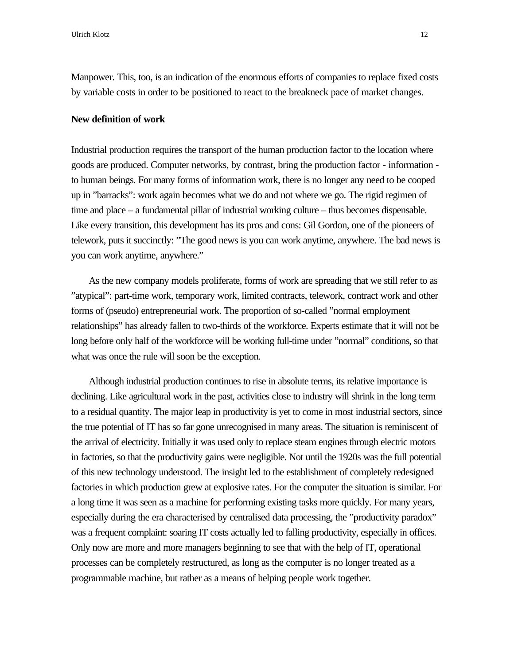Manpower. This, too, is an indication of the enormous efforts of companies to replace fixed costs by variable costs in order to be positioned to react to the breakneck pace of market changes.

# **New definition of work**

Industrial production requires the transport of the human production factor to the location where goods are produced. Computer networks, by contrast, bring the production factor - information to human beings. For many forms of information work, there is no longer any need to be cooped up in "barracks": work again becomes what we do and not where we go. The rigid regimen of time and place – a fundamental pillar of industrial working culture – thus becomes dispensable. Like every transition, this development has its pros and cons: Gil Gordon, one of the pioneers of telework, puts it succinctly: "The good news is you can work anytime, anywhere. The bad news is you can work anytime, anywhere."

As the new company models proliferate, forms of work are spreading that we still refer to as "atypical": part-time work, temporary work, limited contracts, telework, contract work and other forms of (pseudo) entrepreneurial work. The proportion of so-called "normal employment relationships" has already fallen to two-thirds of the workforce. Experts estimate that it will not be long before only half of the workforce will be working full-time under "normal" conditions, so that what was once the rule will soon be the exception.

Although industrial production continues to rise in absolute terms, its relative importance is declining. Like agricultural work in the past, activities close to industry will shrink in the long term to a residual quantity. The major leap in productivity is yet to come in most industrial sectors, since the true potential of IT has so far gone unrecognised in many areas. The situation is reminiscent of the arrival of electricity. Initially it was used only to replace steam engines through electric motors in factories, so that the productivity gains were negligible. Not until the 1920s was the full potential of this new technology understood. The insight led to the establishment of completely redesigned factories in which production grew at explosive rates. For the computer the situation is similar. For a long time it was seen as a machine for performing existing tasks more quickly. For many years, especially during the era characterised by centralised data processing, the "productivity paradox" was a frequent complaint: soaring IT costs actually led to falling productivity, especially in offices. Only now are more and more managers beginning to see that with the help of IT, operational processes can be completely restructured, as long as the computer is no longer treated as a programmable machine, but rather as a means of helping people work together.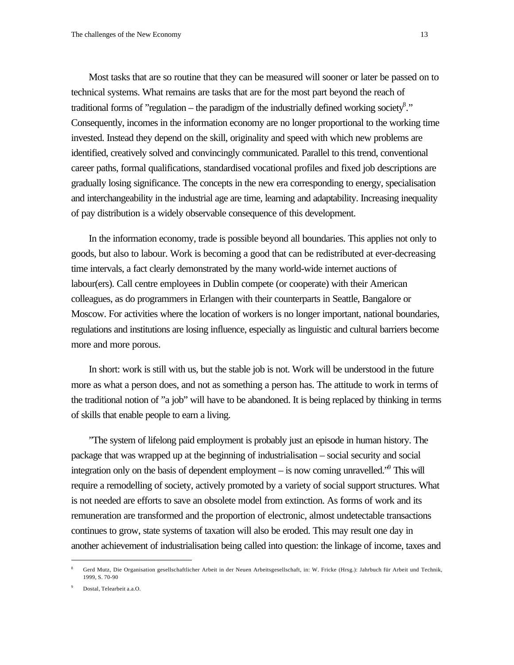Most tasks that are so routine that they can be measured will sooner or later be passed on to technical systems. What remains are tasks that are for the most part beyond the reach of traditional forms of "regulation – the paradigm of the industrially defined working society<sup>8</sup>." Consequently, incomes in the information economy are no longer proportional to the working time invested. Instead they depend on the skill, originality and speed with which new problems are identified, creatively solved and convincingly communicated. Parallel to this trend, conventional career paths, formal qualifications, standardised vocational profiles and fixed job descriptions are gradually losing significance. The concepts in the new era corresponding to energy, specialisation and interchangeability in the industrial age are time, learning and adaptability. Increasing inequality of pay distribution is a widely observable consequence of this development.

In the information economy, trade is possible beyond all boundaries. This applies not only to goods, but also to labour. Work is becoming a good that can be redistributed at ever-decreasing time intervals, a fact clearly demonstrated by the many world-wide internet auctions of labour(ers). Call centre employees in Dublin compete (or cooperate) with their American colleagues, as do programmers in Erlangen with their counterparts in Seattle, Bangalore or Moscow. For activities where the location of workers is no longer important, national boundaries, regulations and institutions are losing influence, especially as linguistic and cultural barriers become more and more porous.

In short: work is still with us, but the stable job is not. Work will be understood in the future more as what a person does, and not as something a person has. The attitude to work in terms of the traditional notion of "a job" will have to be abandoned. It is being replaced by thinking in terms of skills that enable people to earn a living.

"The system of lifelong paid employment is probably just an episode in human history. The package that was wrapped up at the beginning of industrialisation – social security and social integration only on the basis of dependent employment – is now coming unravelled." This will require a remodelling of society, actively promoted by a variety of social support structures. What is not needed are efforts to save an obsolete model from extinction. As forms of work and its remuneration are transformed and the proportion of electronic, almost undetectable transactions continues to grow, state systems of taxation will also be eroded. This may result one day in another achievement of industrialisation being called into question: the linkage of income, taxes and

<sup>8</sup> Gerd Mutz, Die Organisation gesellschaftlicher Arbeit in der Neuen Arbeitsgesellschaft, in: W. Fricke (Hrsg.): Jahrbuch für Arbeit und Technik, 1999, S. 70-90

<sup>9</sup> Dostal, Telearbeit a.a.O.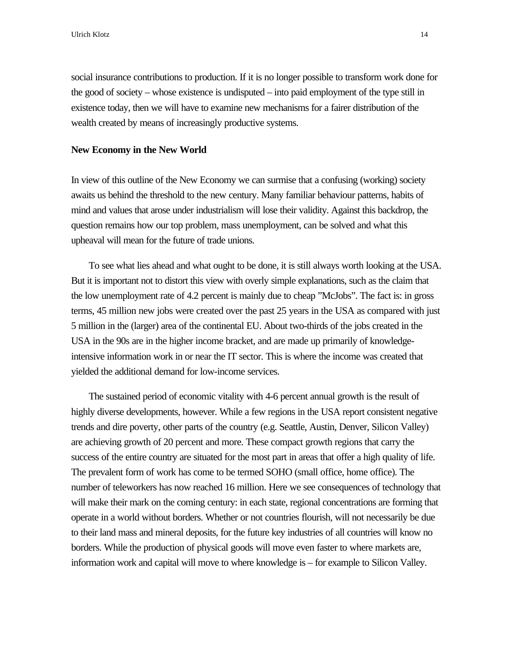Ulrich Klotz **14** 

social insurance contributions to production. If it is no longer possible to transform work done for the good of society – whose existence is undisputed – into paid employment of the type still in existence today, then we will have to examine new mechanisms for a fairer distribution of the wealth created by means of increasingly productive systems.

### **New Economy in the New World**

In view of this outline of the New Economy we can surmise that a confusing (working) society awaits us behind the threshold to the new century. Many familiar behaviour patterns, habits of mind and values that arose under industrialism will lose their validity. Against this backdrop, the question remains how our top problem, mass unemployment, can be solved and what this upheaval will mean for the future of trade unions.

To see what lies ahead and what ought to be done, it is still always worth looking at the USA. But it is important not to distort this view with overly simple explanations, such as the claim that the low unemployment rate of 4.2 percent is mainly due to cheap "McJobs". The fact is: in gross terms, 45 million new jobs were created over the past 25 years in the USA as compared with just 5 million in the (larger) area of the continental EU. About two-thirds of the jobs created in the USA in the 90s are in the higher income bracket, and are made up primarily of knowledgeintensive information work in or near the IT sector. This is where the income was created that yielded the additional demand for low-income services.

The sustained period of economic vitality with 4-6 percent annual growth is the result of highly diverse developments, however. While a few regions in the USA report consistent negative trends and dire poverty, other parts of the country (e.g. Seattle, Austin, Denver, Silicon Valley) are achieving growth of 20 percent and more. These compact growth regions that carry the success of the entire country are situated for the most part in areas that offer a high quality of life. The prevalent form of work has come to be termed SOHO (small office, home office). The number of teleworkers has now reached 16 million. Here we see consequences of technology that will make their mark on the coming century: in each state, regional concentrations are forming that operate in a world without borders. Whether or not countries flourish, will not necessarily be due to their land mass and mineral deposits, for the future key industries of all countries will know no borders. While the production of physical goods will move even faster to where markets are, information work and capital will move to where knowledge is – for example to Silicon Valley.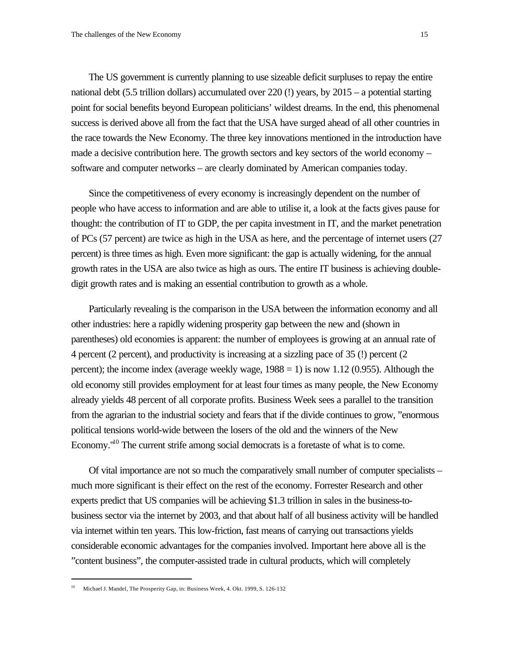The US government is currently planning to use sizeable deficit surpluses to repay the entire national debt (5.5 trillion dollars) accumulated over 220 (!) years, by 2015 – a potential starting point for social benefits beyond European politicians' wildest dreams. In the end, this phenomenal success is derived above all from the fact that the USA have surged ahead of all other countries in the race towards the New Economy. The three key innovations mentioned in the introduction have made a decisive contribution here. The growth sectors and key sectors of the world economy – software and computer networks – are clearly dominated by American companies today.

Since the competitiveness of every economy is increasingly dependent on the number of people who have access to information and are able to utilise it, a look at the facts gives pause for thought: the contribution of IT to GDP, the per capita investment in IT, and the market penetration of PCs (57 percent) are twice as high in the USA as here, and the percentage of internet users (27 percent) is three times as high. Even more significant: the gap is actually widening, for the annual growth rates in the USA are also twice as high as ours. The entire IT business is achieving doubledigit growth rates and is making an essential contribution to growth as a whole.

Particularly revealing is the comparison in the USA between the information economy and all other industries: here a rapidly widening prosperity gap between the new and (shown in parentheses) old economies is apparent: the number of employees is growing at an annual rate of 4 percent (2 percent), and productivity is increasing at a sizzling pace of 35 (!) percent (2 percent); the income index (average weekly wage,  $1988 = 1$ ) is now 1.12 (0.955). Although the old economy still provides employment for at least four times as many people, the New Economy already yields 48 percent of all corporate profits. Business Week sees a parallel to the transition from the agrarian to the industrial society and fears that if the divide continues to grow, "enormous political tensions world-wide between the losers of the old and the winners of the New Economy."<sup>10</sup> The current strife among social democrats is a foretaste of what is to come.

Of vital importance are not so much the comparatively small number of computer specialists – much more significant is their effect on the rest of the economy. Forrester Research and other experts predict that US companies will be achieving \$1.3 trillion in sales in the business-tobusiness sector via the internet by 2003, and that about half of all business activity will be handled via internet within ten years. This low-friction, fast means of carrying out transactions yields considerable economic advantages for the companies involved. Important here above all is the "content business", the computer-assisted trade in cultural products, which will completely

<sup>10</sup> Michael J. Mandel, The Prosperity Gap, in: Business Week, 4. Okt. 1999, S. 126-132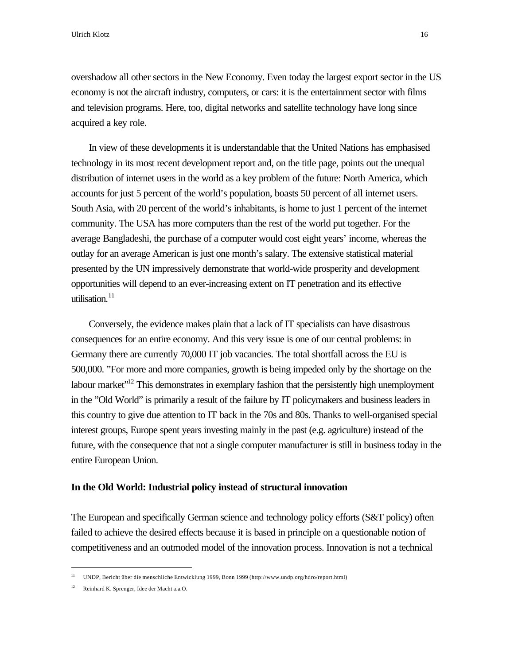Ulrich Klotz 16

overshadow all other sectors in the New Economy. Even today the largest export sector in the US economy is not the aircraft industry, computers, or cars: it is the entertainment sector with films and television programs. Here, too, digital networks and satellite technology have long since acquired a key role.

In view of these developments it is understandable that the United Nations has emphasised technology in its most recent development report and, on the title page, points out the unequal distribution of internet users in the world as a key problem of the future: North America, which accounts for just 5 percent of the world's population, boasts 50 percent of all internet users. South Asia, with 20 percent of the world's inhabitants, is home to just 1 percent of the internet community. The USA has more computers than the rest of the world put together. For the average Bangladeshi, the purchase of a computer would cost eight years' income, whereas the outlay for an average American is just one month's salary. The extensive statistical material presented by the UN impressively demonstrate that world-wide prosperity and development opportunities will depend to an ever-increasing extent on IT penetration and its effective utilisation. $11$ 

Conversely, the evidence makes plain that a lack of IT specialists can have disastrous consequences for an entire economy. And this very issue is one of our central problems: in Germany there are currently 70,000 IT job vacancies. The total shortfall across the EU is 500,000. "For more and more companies, growth is being impeded only by the shortage on the labour market"<sup>12</sup> This demonstrates in exemplary fashion that the persistently high unemployment in the "Old World" is primarily a result of the failure by IT policymakers and business leaders in this country to give due attention to IT back in the 70s and 80s. Thanks to well-organised special interest groups, Europe spent years investing mainly in the past (e.g. agriculture) instead of the future, with the consequence that not a single computer manufacturer is still in business today in the entire European Union.

## **In the Old World: Industrial policy instead of structural innovation**

The European and specifically German science and technology policy efforts (S&T policy) often failed to achieve the desired effects because it is based in principle on a questionable notion of competitiveness and an outmoded model of the innovation process. Innovation is not a technical

<sup>11</sup> UNDP, Bericht über die menschliche Entwicklung 1999, Bonn 1999 (http://www.undp.org/hdro/report.html)

<sup>12</sup> Reinhard K. Sprenger, Idee der Macht a.a.O.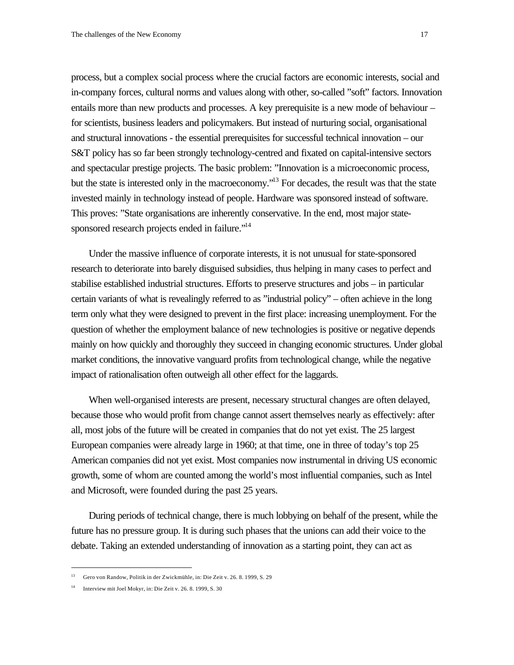process, but a complex social process where the crucial factors are economic interests, social and in-company forces, cultural norms and values along with other, so-called "soft" factors. Innovation entails more than new products and processes. A key prerequisite is a new mode of behaviour – for scientists, business leaders and policymakers. But instead of nurturing social, organisational and structural innovations - the essential prerequisites for successful technical innovation – our S&T policy has so far been strongly technology-centred and fixated on capital-intensive sectors and spectacular prestige projects. The basic problem: "Innovation is a microeconomic process, but the state is interested only in the macroeconomy."<sup>13</sup> For decades, the result was that the state invested mainly in technology instead of people. Hardware was sponsored instead of software. This proves: "State organisations are inherently conservative. In the end, most major statesponsored research projects ended in failure."<sup>14</sup>

Under the massive influence of corporate interests, it is not unusual for state-sponsored research to deteriorate into barely disguised subsidies, thus helping in many cases to perfect and stabilise established industrial structures. Efforts to preserve structures and jobs – in particular certain variants of what is revealingly referred to as "industrial policy" – often achieve in the long term only what they were designed to prevent in the first place: increasing unemployment. For the question of whether the employment balance of new technologies is positive or negative depends mainly on how quickly and thoroughly they succeed in changing economic structures. Under global market conditions, the innovative vanguard profits from technological change, while the negative impact of rationalisation often outweigh all other effect for the laggards.

When well-organised interests are present, necessary structural changes are often delayed, because those who would profit from change cannot assert themselves nearly as effectively: after all, most jobs of the future will be created in companies that do not yet exist. The 25 largest European companies were already large in 1960; at that time, one in three of today's top 25 American companies did not yet exist. Most companies now instrumental in driving US economic growth, some of whom are counted among the world's most influential companies, such as Intel and Microsoft, were founded during the past 25 years.

During periods of technical change, there is much lobbying on behalf of the present, while the future has no pressure group. It is during such phases that the unions can add their voice to the debate. Taking an extended understanding of innovation as a starting point, they can act as

<sup>13</sup> Gero von Randow, Politik in der Zwickmühle, in: Die Zeit v. 26. 8. 1999, S. 29

<sup>14</sup> Interview mit Joel Mokyr, in: Die Zeit v. 26. 8. 1999, S. 30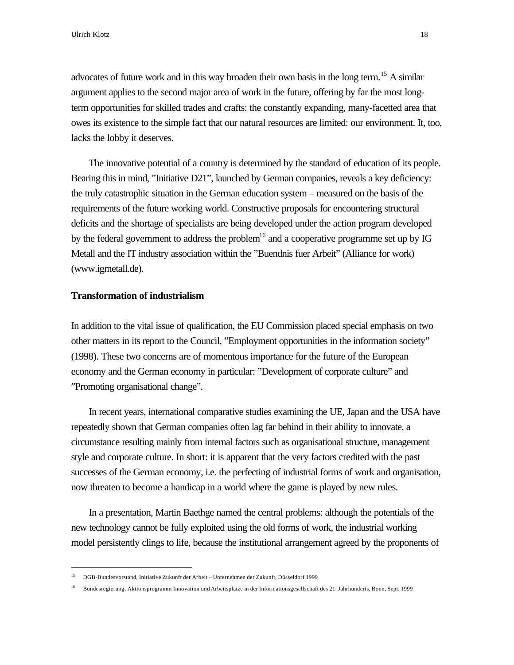advocates of future work and in this way broaden their own basis in the long term.<sup>15</sup> A similar argument applies to the second major area of work in the future, offering by far the most longterm opportunities for skilled trades and crafts: the constantly expanding, many-facetted area that owes its existence to the simple fact that our natural resources are limited: our environment. It, too, lacks the lobby it deserves.

The innovative potential of a country is determined by the standard of education of its people. Bearing this in mind, "Initiative D21", launched by German companies, reveals a key deficiency: the truly catastrophic situation in the German education system – measured on the basis of the requirements of the future working world. Constructive proposals for encountering structural deficits and the shortage of specialists are being developed under the action program developed by the federal government to address the problem<sup>16</sup> and a cooperative programme set up by IG Metall and the IT industry association within the "Buendnis fuer Arbeit" (Alliance for work) (www.igmetall.de).

# **Transformation of industrialism**

l

In addition to the vital issue of qualification, the EU Commission placed special emphasis on two other matters in its report to the Council, "Employment opportunities in the information society" (1998). These two concerns are of momentous importance for the future of the European economy and the German economy in particular: "Development of corporate culture" and "Promoting organisational change".

In recent years, international comparative studies examining the UE, Japan and the USA have repeatedly shown that German companies often lag far behind in their ability to innovate, a circumstance resulting mainly from internal factors such as organisational structure, management style and corporate culture. In short: it is apparent that the very factors credited with the past successes of the German economy, i.e. the perfecting of industrial forms of work and organisation, now threaten to become a handicap in a world where the game is played by new rules.

In a presentation, Martin Baethge named the central problems: although the potentials of the new technology cannot be fully exploited using the old forms of work, the industrial working model persistently clings to life, because the institutional arrangement agreed by the proponents of

<sup>15</sup> DGB-Bundesvorstand, Initiative Zukunft der Arbeit – Unternehmen der Zukunft, Düsseldorf 1999

<sup>16</sup> Bundesregierung, Aktionsprogramm Innovation und Arbeitsplätze in der Informationsgesellschaft des 21. Jahrhunderts, Bonn, Sept. 1999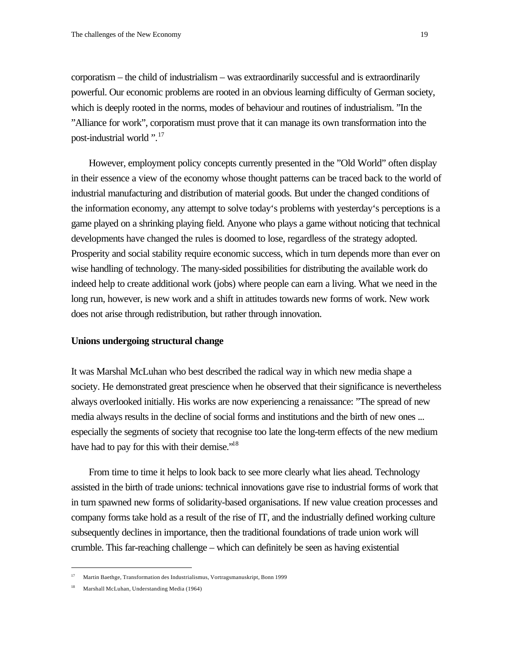corporatism – the child of industrialism – was extraordinarily successful and is extraordinarily powerful. Our economic problems are rooted in an obvious learning difficulty of German society, which is deeply rooted in the norms, modes of behaviour and routines of industrialism. "In the "Alliance for work", corporatism must prove that it can manage its own transformation into the post-industrial world ".<sup>17</sup>

However, employment policy concepts currently presented in the "Old World" often display in their essence a view of the economy whose thought patterns can be traced back to the world of industrial manufacturing and distribution of material goods. But under the changed conditions of the information economy, any attempt to solve today's problems with yesterday's perceptions is a game played on a shrinking playing field. Anyone who plays a game without noticing that technical developments have changed the rules is doomed to lose, regardless of the strategy adopted. Prosperity and social stability require economic success, which in turn depends more than ever on wise handling of technology. The many-sided possibilities for distributing the available work do indeed help to create additional work (jobs) where people can earn a living. What we need in the long run, however, is new work and a shift in attitudes towards new forms of work. New work does not arise through redistribution, but rather through innovation.

## **Unions undergoing structural change**

It was Marshal McLuhan who best described the radical way in which new media shape a society. He demonstrated great prescience when he observed that their significance is nevertheless always overlooked initially. His works are now experiencing a renaissance: "The spread of new media always results in the decline of social forms and institutions and the birth of new ones ... especially the segments of society that recognise too late the long-term effects of the new medium have had to pay for this with their demise."<sup>18</sup>

From time to time it helps to look back to see more clearly what lies ahead. Technology assisted in the birth of trade unions: technical innovations gave rise to industrial forms of work that in turn spawned new forms of solidarity-based organisations. If new value creation processes and company forms take hold as a result of the rise of IT, and the industrially defined working culture subsequently declines in importance, then the traditional foundations of trade union work will crumble. This far-reaching challenge – which can definitely be seen as having existential

<sup>17</sup> Martin Baethge, Transformation des Industrialismus, Vortragsmanuskript, Bonn 1999

Marshall McLuhan, Understanding Media (1964)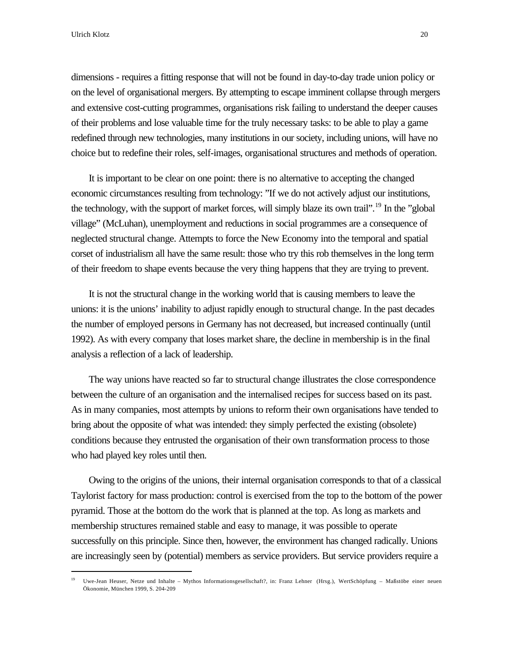Ulrich Klotz 20

l

dimensions - requires a fitting response that will not be found in day-to-day trade union policy or on the level of organisational mergers. By attempting to escape imminent collapse through mergers and extensive cost-cutting programmes, organisations risk failing to understand the deeper causes of their problems and lose valuable time for the truly necessary tasks: to be able to play a game redefined through new technologies, many institutions in our society, including unions, will have no choice but to redefine their roles, self-images, organisational structures and methods of operation.

It is important to be clear on one point: there is no alternative to accepting the changed economic circumstances resulting from technology: "If we do not actively adjust our institutions, the technology, with the support of market forces, will simply blaze its own trail".<sup>19</sup> In the "global" village" (McLuhan), unemployment and reductions in social programmes are a consequence of neglected structural change. Attempts to force the New Economy into the temporal and spatial corset of industrialism all have the same result: those who try this rob themselves in the long term of their freedom to shape events because the very thing happens that they are trying to prevent.

It is not the structural change in the working world that is causing members to leave the unions: it is the unions' inability to adjust rapidly enough to structural change. In the past decades the number of employed persons in Germany has not decreased, but increased continually (until 1992). As with every company that loses market share, the decline in membership is in the final analysis a reflection of a lack of leadership.

The way unions have reacted so far to structural change illustrates the close correspondence between the culture of an organisation and the internalised recipes for success based on its past. As in many companies, most attempts by unions to reform their own organisations have tended to bring about the opposite of what was intended: they simply perfected the existing (obsolete) conditions because they entrusted the organisation of their own transformation process to those who had played key roles until then.

Owing to the origins of the unions, their internal organisation corresponds to that of a classical Taylorist factory for mass production: control is exercised from the top to the bottom of the power pyramid. Those at the bottom do the work that is planned at the top. As long as markets and membership structures remained stable and easy to manage, it was possible to operate successfully on this principle. Since then, however, the environment has changed radically. Unions are increasingly seen by (potential) members as service providers. But service providers require a

<sup>19</sup> Uwe-Jean Heuser, Netze und Inhalte – Mythos Informationsgesellschaft?, in: Franz Lehner (Hrsg.), WertSchöpfung – Maßstöbe einer neuen Ökonomie, München 1999, S. 204-209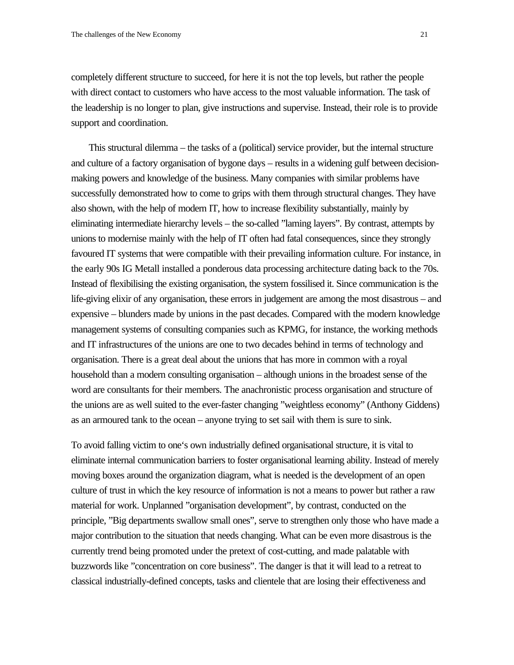completely different structure to succeed, for here it is not the top levels, but rather the people with direct contact to customers who have access to the most valuable information. The task of the leadership is no longer to plan, give instructions and supervise. Instead, their role is to provide support and coordination.

This structural dilemma – the tasks of a (political) service provider, but the internal structure and culture of a factory organisation of bygone days – results in a widening gulf between decisionmaking powers and knowledge of the business. Many companies with similar problems have successfully demonstrated how to come to grips with them through structural changes. They have also shown, with the help of modern IT, how to increase flexibility substantially, mainly by eliminating intermediate hierarchy levels – the so-called "laming layers". By contrast, attempts by unions to modernise mainly with the help of IT often had fatal consequences, since they strongly favoured IT systems that were compatible with their prevailing information culture. For instance, in the early 90s IG Metall installed a ponderous data processing architecture dating back to the 70s. Instead of flexibilising the existing organisation, the system fossilised it. Since communication is the life-giving elixir of any organisation, these errors in judgement are among the most disastrous – and expensive – blunders made by unions in the past decades. Compared with the modern knowledge management systems of consulting companies such as KPMG, for instance, the working methods and IT infrastructures of the unions are one to two decades behind in terms of technology and organisation. There is a great deal about the unions that has more in common with a royal household than a modern consulting organisation – although unions in the broadest sense of the word are consultants for their members. The anachronistic process organisation and structure of the unions are as well suited to the ever-faster changing "weightless economy" (Anthony Giddens) as an armoured tank to the ocean – anyone trying to set sail with them is sure to sink.

To avoid falling victim to one's own industrially defined organisational structure, it is vital to eliminate internal communication barriers to foster organisational learning ability. Instead of merely moving boxes around the organization diagram, what is needed is the development of an open culture of trust in which the key resource of information is not a means to power but rather a raw material for work. Unplanned "organisation development", by contrast, conducted on the principle, "Big departments swallow small ones", serve to strengthen only those who have made a major contribution to the situation that needs changing. What can be even more disastrous is the currently trend being promoted under the pretext of cost-cutting, and made palatable with buzzwords like "concentration on core business". The danger is that it will lead to a retreat to classical industrially-defined concepts, tasks and clientele that are losing their effectiveness and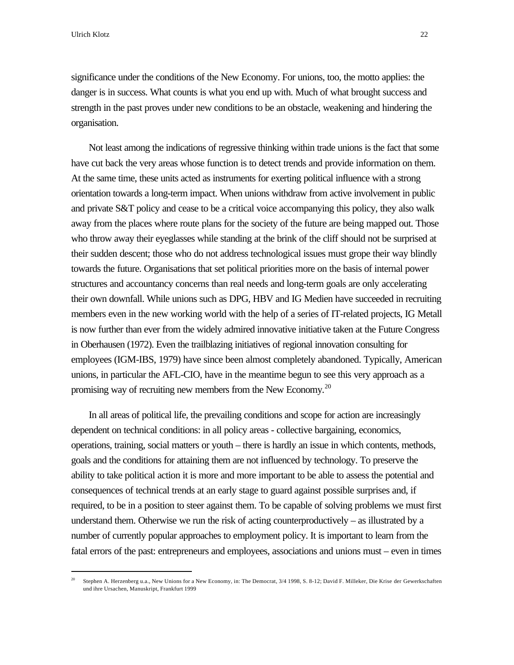Ulrich Klotz 22

l

significance under the conditions of the New Economy. For unions, too, the motto applies: the danger is in success. What counts is what you end up with. Much of what brought success and strength in the past proves under new conditions to be an obstacle, weakening and hindering the organisation.

Not least among the indications of regressive thinking within trade unions is the fact that some have cut back the very areas whose function is to detect trends and provide information on them. At the same time, these units acted as instruments for exerting political influence with a strong orientation towards a long-term impact. When unions withdraw from active involvement in public and private S&T policy and cease to be a critical voice accompanying this policy, they also walk away from the places where route plans for the society of the future are being mapped out. Those who throw away their eyeglasses while standing at the brink of the cliff should not be surprised at their sudden descent; those who do not address technological issues must grope their way blindly towards the future. Organisations that set political priorities more on the basis of internal power structures and accountancy concerns than real needs and long-term goals are only accelerating their own downfall. While unions such as DPG, HBV and IG Medien have succeeded in recruiting members even in the new working world with the help of a series of IT-related projects, IG Metall is now further than ever from the widely admired innovative initiative taken at the Future Congress in Oberhausen (1972). Even the trailblazing initiatives of regional innovation consulting for employees (IGM-IBS, 1979) have since been almost completely abandoned. Typically, American unions, in particular the AFL-CIO, have in the meantime begun to see this very approach as a promising way of recruiting new members from the New Economy.<sup>20</sup>

In all areas of political life, the prevailing conditions and scope for action are increasingly dependent on technical conditions: in all policy areas - collective bargaining, economics, operations, training, social matters or youth – there is hardly an issue in which contents, methods, goals and the conditions for attaining them are not influenced by technology. To preserve the ability to take political action it is more and more important to be able to assess the potential and consequences of technical trends at an early stage to guard against possible surprises and, if required, to be in a position to steer against them. To be capable of solving problems we must first understand them. Otherwise we run the risk of acting counterproductively  $-$  as illustrated by a number of currently popular approaches to employment policy. It is important to learn from the fatal errors of the past: entrepreneurs and employees, associations and unions must – even in times

<sup>&</sup>lt;sup>20</sup> Stephen A. Herzenberg u.a., New Unions for a New Economy, in: The Democrat, 3/4 1998, S. 8-12; David F. Milleker, Die Krise der Gewerkschaften und ihre Ursachen, Manuskript, Frankfurt 1999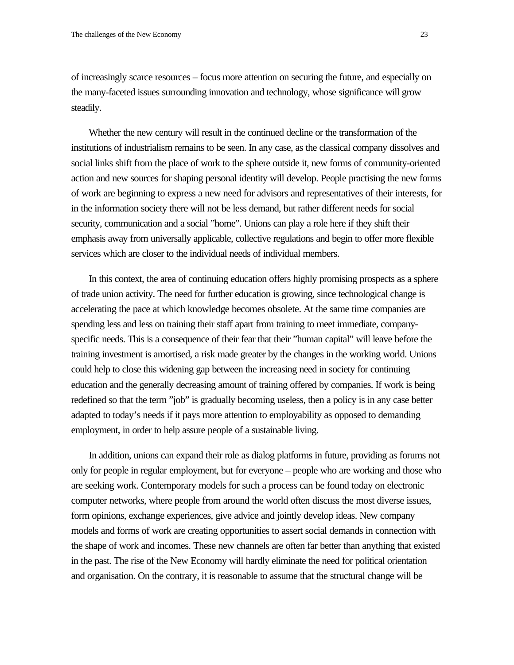of increasingly scarce resources – focus more attention on securing the future, and especially on the many-faceted issues surrounding innovation and technology, whose significance will grow steadily.

Whether the new century will result in the continued decline or the transformation of the institutions of industrialism remains to be seen. In any case, as the classical company dissolves and social links shift from the place of work to the sphere outside it, new forms of community-oriented action and new sources for shaping personal identity will develop. People practising the new forms of work are beginning to express a new need for advisors and representatives of their interests, for in the information society there will not be less demand, but rather different needs for social security, communication and a social "home". Unions can play a role here if they shift their emphasis away from universally applicable, collective regulations and begin to offer more flexible services which are closer to the individual needs of individual members.

In this context, the area of continuing education offers highly promising prospects as a sphere of trade union activity. The need for further education is growing, since technological change is accelerating the pace at which knowledge becomes obsolete. At the same time companies are spending less and less on training their staff apart from training to meet immediate, companyspecific needs. This is a consequence of their fear that their "human capital" will leave before the training investment is amortised, a risk made greater by the changes in the working world. Unions could help to close this widening gap between the increasing need in society for continuing education and the generally decreasing amount of training offered by companies. If work is being redefined so that the term "job" is gradually becoming useless, then a policy is in any case better adapted to today's needs if it pays more attention to employability as opposed to demanding employment, in order to help assure people of a sustainable living.

In addition, unions can expand their role as dialog platforms in future, providing as forums not only for people in regular employment, but for everyone – people who are working and those who are seeking work. Contemporary models for such a process can be found today on electronic computer networks, where people from around the world often discuss the most diverse issues, form opinions, exchange experiences, give advice and jointly develop ideas. New company models and forms of work are creating opportunities to assert social demands in connection with the shape of work and incomes. These new channels are often far better than anything that existed in the past. The rise of the New Economy will hardly eliminate the need for political orientation and organisation. On the contrary, it is reasonable to assume that the structural change will be